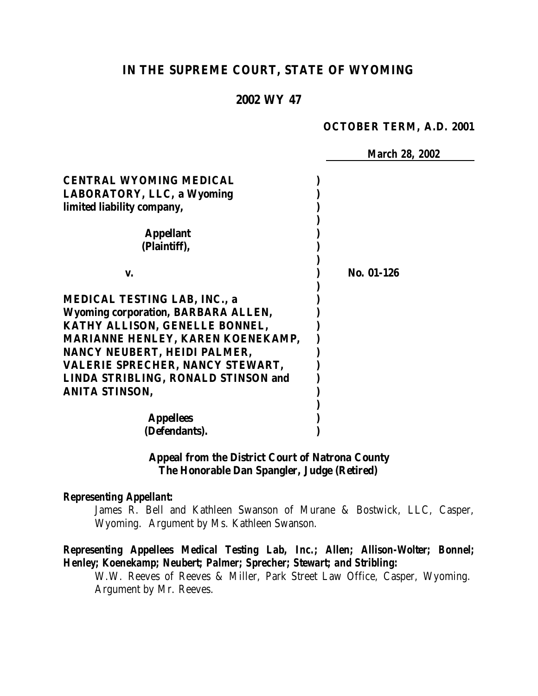# **IN THE SUPREME COURT, STATE OF WYOMING**

## **2002 WY 47**

#### **OCTOBER TERM, A.D. 2001**

 *March 28, 2002* **CENTRAL WYOMING MEDICAL ) LABORATORY, LLC, a Wyoming ) limited liability company, ) ) Appellant ) (Plaintiff), ) ) v. ) No. 01-126 ) MEDICAL TESTING LAB, INC., a ) Wyoming corporation, BARBARA ALLEN, ) KATHY ALLISON, GENELLE BONNEL, ) MARIANNE HENLEY, KAREN KOENEKAMP, ) NANCY NEUBERT, HEIDI PALMER, ) VALERIE SPRECHER, NANCY STEWART, ) LINDA STRIBLING, RONALD STINSON and ) ANITA STINSON, ) ) Appellees ) (Defendants). )**

### **Appeal from the District Court of Natrona County The Honorable Dan Spangler, Judge (Retired)**

#### *Representing Appellant:*

James R. Bell and Kathleen Swanson of Murane & Bostwick, LLC, Casper, Wyoming. Argument by Ms. Kathleen Swanson.

## *Representing Appellees Medical Testing Lab, Inc.; Allen; Allison-Wolter; Bonnel; Henley; Koenekamp; Neubert; Palmer; Sprecher; Stewart; and Stribling:*

W.W. Reeves of Reeves & Miller, Park Street Law Office, Casper, Wyoming. Argument by Mr. Reeves.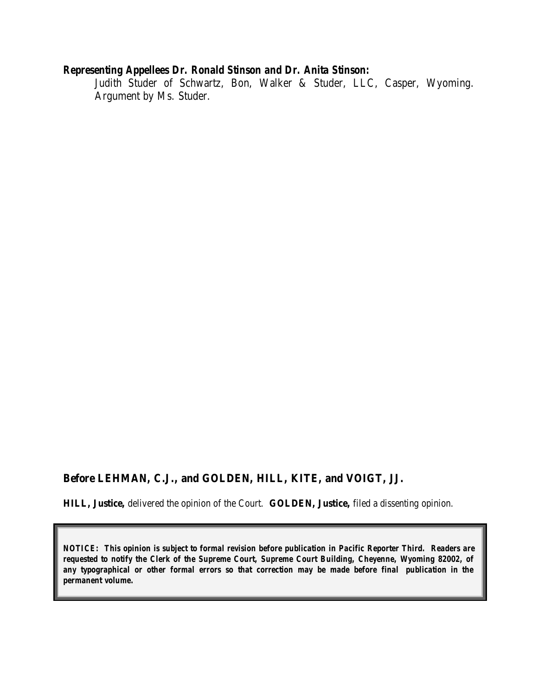## *Representing Appellees Dr. Ronald Stinson and Dr. Anita Stinson:*

Judith Studer of Schwartz, Bon, Walker & Studer, LLC, Casper, Wyoming. Argument by Ms. Studer.

#### **Before LEHMAN, C.J., and GOLDEN, HILL, KITE, and VOIGT, JJ.**

**HILL, Justice,** delivered the opinion of the Court. **GOLDEN, Justice,** filed a dissenting opinion.

*NOTICE: This opinion is subject to formal revision before publication in Pacific Reporter Third. Readers are requested to notify the Clerk of the Supreme Court, Supreme Court Building, Cheyenne, Wyoming 82002, of any typographical or other formal errors so that correction may be made before final publication in the permanent volume.*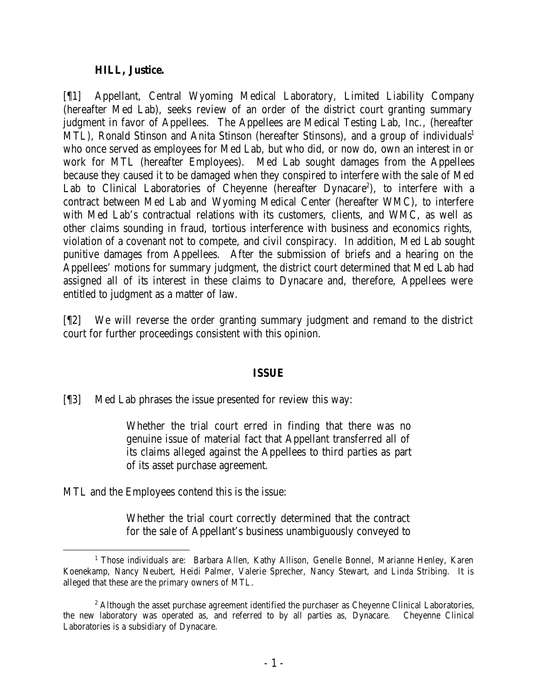## **HILL, Justice.**

[¶1] Appellant, Central Wyoming Medical Laboratory, Limited Liability Company (hereafter Med Lab), seeks review of an order of the district court granting summary judgment in favor of Appellees. The Appellees are Medical Testing Lab, Inc., (hereafter MTL), Ronald Stinson and Anita Stinson (hereafter Stinsons), and a group of individuals<sup>1</sup> who once served as employees for Med Lab, but who did, or now do, own an interest in or work for MTL (hereafter Employees). Med Lab sought damages from the Appellees because they caused it to be damaged when they conspired to interfere with the sale of Med Lab to Clinical Laboratories of Cheyenne (hereafter Dynacare<sup>2</sup>), to interfere with a contract between Med Lab and Wyoming Medical Center (hereafter WMC), to interfere with Med Lab's contractual relations with its customers, clients, and WMC, as well as other claims sounding in fraud, tortious interference with business and economics rights, violation of a covenant not to compete, and civil conspiracy. In addition, Med Lab sought punitive damages from Appellees. After the submission of briefs and a hearing on the Appellees' motions for summary judgment, the district court determined that Med Lab had assigned all of its interest in these claims to Dynacare and, therefore, Appellees were entitled to judgment as a matter of law.

[¶2] We will reverse the order granting summary judgment and remand to the district court for further proceedings consistent with this opinion.

# **ISSUE**

[¶3] Med Lab phrases the issue presented for review this way:

Whether the trial court erred in finding that there was no genuine issue of material fact that Appellant transferred all of its claims alleged against the Appellees to third parties as part of its asset purchase agreement.

MTL and the Employees contend this is the issue:

Whether the trial court correctly determined that the contract for the sale of Appellant's business unambiguously conveyed to

<sup>&</sup>lt;sup>1</sup> Those individuals are: Barbara Allen, Kathy Allison, Genelle Bonnel, Marianne Henley, Karen Koenekamp, Nancy Neubert, Heidi Palmer, Valerie Sprecher, Nancy Stewart, and Linda Stribing. It is alleged that these are the primary owners of MTL.

<sup>&</sup>lt;sup>2</sup> Although the asset purchase agreement identified the purchaser as Cheyenne Clinical Laboratories, the new laboratory was operated as, and referred to by all parties as, Dynacare. Cheyenne Clinical Laboratories is a subsidiary of Dynacare.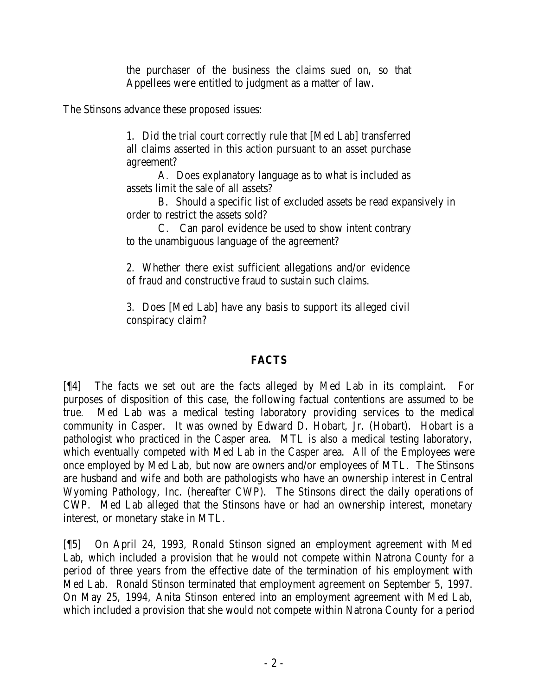the purchaser of the business the claims sued on, so that Appellees were entitled to judgment as a matter of law.

The Stinsons advance these proposed issues:

1. Did the trial court correctly rule that [Med Lab] transferred all claims asserted in this action pursuant to an asset purchase agreement?

A. Does explanatory language as to what is included as assets limit the sale of all assets?

B. Should a specific list of excluded assets be read expansively in order to restrict the assets sold?

C. Can parol evidence be used to show intent contrary to the unambiguous language of the agreement?

2. Whether there exist sufficient allegations and/or evidence of fraud and constructive fraud to sustain such claims.

3. Does [Med Lab] have any basis to support its alleged civil conspiracy claim?

# **FACTS**

[¶4] The facts we set out are the facts alleged by Med Lab in its complaint. For purposes of disposition of this case, the following factual contentions are assumed to be true. Med Lab was a medical testing laboratory providing services to the medical community in Casper. It was owned by Edward D. Hobart, Jr. (Hobart). Hobart is a pathologist who practiced in the Casper area. MTL is also a medical testing laboratory, which eventually competed with Med Lab in the Casper area. All of the Employees were once employed by Med Lab, but now are owners and/or employees of MTL. The Stinsons are husband and wife and both are pathologists who have an ownership interest in Central Wyoming Pathology, Inc. (hereafter CWP). The Stinsons direct the daily operations of CWP. Med Lab alleged that the Stinsons have or had an ownership interest, monetary interest, or monetary stake in MTL.

[¶5] On April 24, 1993, Ronald Stinson signed an employment agreement with Med Lab, which included a provision that he would not compete within Natrona County for a period of three years from the effective date of the termination of his employment with Med Lab. Ronald Stinson terminated that employment agreement on September 5, 1997. On May 25, 1994, Anita Stinson entered into an employment agreement with Med Lab, which included a provision that she would not compete within Natrona County for a period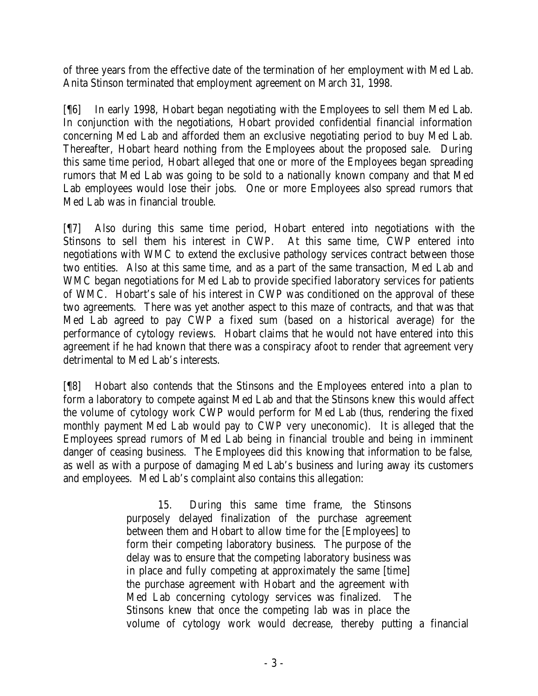of three years from the effective date of the termination of her employment with Med Lab. Anita Stinson terminated that employment agreement on March 31, 1998.

[¶6] In early 1998, Hobart began negotiating with the Employees to sell them Med Lab. In conjunction with the negotiations, Hobart provided confidential financial information concerning Med Lab and afforded them an exclusive negotiating period to buy Med Lab. Thereafter, Hobart heard nothing from the Employees about the proposed sale. During this same time period, Hobart alleged that one or more of the Employees began spreading rumors that Med Lab was going to be sold to a nationally known company and that Med Lab employees would lose their jobs. One or more Employees also spread rumors that Med Lab was in financial trouble.

[¶7] Also during this same time period, Hobart entered into negotiations with the Stinsons to sell them his interest in CWP. At this same time, CWP entered into negotiations with WMC to extend the exclusive pathology services contract between those two entities. Also at this same time, and as a part of the same transaction, Med Lab and WMC began negotiations for Med Lab to provide specified laboratory services for patients of WMC. Hobart's sale of his interest in CWP was conditioned on the approval of these two agreements. There was yet another aspect to this maze of contracts, and that was that Med Lab agreed to pay CWP a fixed sum (based on a historical average) for the performance of cytology reviews. Hobart claims that he would not have entered into this agreement if he had known that there was a conspiracy afoot to render that agreement very detrimental to Med Lab's interests.

[¶8] Hobart also contends that the Stinsons and the Employees entered into a plan to form a laboratory to compete against Med Lab and that the Stinsons knew this would affect the volume of cytology work CWP would perform for Med Lab (thus, rendering the fixed monthly payment Med Lab would pay to CWP very uneconomic). It is alleged that the Employees spread rumors of Med Lab being in financial trouble and being in imminent danger of ceasing business. The Employees did this knowing that information to be false, as well as with a purpose of damaging Med Lab's business and luring away its customers and employees. Med Lab's complaint also contains this allegation:

> 15. During this same time frame, the Stinsons purposely delayed finalization of the purchase agreement between them and Hobart to allow time for the [Employees] to form their competing laboratory business. The purpose of the delay was to ensure that the competing laboratory business was in place and fully competing at approximately the same [time] the purchase agreement with Hobart and the agreement with Med Lab concerning cytology services was finalized. The Stinsons knew that once the competing lab was in place the volume of cytology work would decrease, thereby putting a financial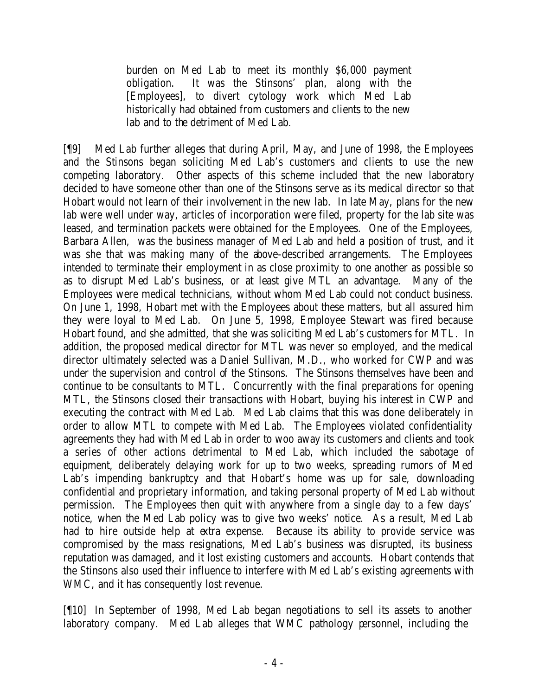burden on Med Lab to meet its monthly \$6,000 payment obligation. It was the Stinsons' plan, along with the [Employees], to divert cytology work which Med Lab historically had obtained from customers and clients to the new lab and to the detriment of Med Lab.

[¶9] Med Lab further alleges that during April, May, and June of 1998, the Employees and the Stinsons began soliciting Med Lab's customers and clients to use the new competing laboratory. Other aspects of this scheme included that the new laboratory decided to have someone other than one of the Stinsons serve as its medical director so that Hobart would not learn of their involvement in the new lab. In late May, plans for the new lab were well under way, articles of incorporation were filed, property for the lab site was leased, and termination packets were obtained for the Employees. One of the Employees, Barbara Allen, was the business manager of Med Lab and held a position of trust, and it was she that was making many of the above-described arrangements. The Employees intended to terminate their employment in as close proximity to one another as possible so as to disrupt Med Lab's business, or at least give MTL an advantage. Many of the Employees were medical technicians, without whom Med Lab could not conduct business. On June 1, 1998, Hobart met with the Employees about these matters, but all assured him they were loyal to Med Lab. On June 5, 1998, Employee Stewart was fired because Hobart found, and she admitted, that she was soliciting Med Lab's customers for MTL. In addition, the proposed medical director for MTL was never so employed, and the medical director ultimately selected was a Daniel Sullivan, M.D., who worked for CWP and was under the supervision and control of the Stinsons. The Stinsons themselves have been and continue to be consultants to MTL. Concurrently with the final preparations for opening MTL, the Stinsons closed their transactions with Hobart, buying his interest in CWP and executing the contract with Med Lab. Med Lab claims that this was done deliberately in order to allow MTL to compete with Med Lab. The Employees violated confidentiality agreements they had with Med Lab in order to woo away its customers and clients and took a series of other actions detrimental to Med Lab, which included the sabotage of equipment, deliberately delaying work for up to two weeks, spreading rumors of Med Lab's impending bankruptcy and that Hobart's home was up for sale, downloading confidential and proprietary information, and taking personal property of Med Lab without permission. The Employees then quit with anywhere from a single day to a few days' notice, when the Med Lab policy was to give two weeks' notice. As a result, Med Lab had to hire outside help at extra expense. Because its ability to provide service was compromised by the mass resignations, Med Lab's business was disrupted, its business reputation was damaged, and it lost existing customers and accounts. Hobart contends that the Stinsons also used their influence to interfere with Med Lab's existing agreements with WMC, and it has consequently lost revenue.

[¶10] In September of 1998, Med Lab began negotiations to sell its assets to another laboratory company. Med Lab alleges that WMC pathology personnel, including the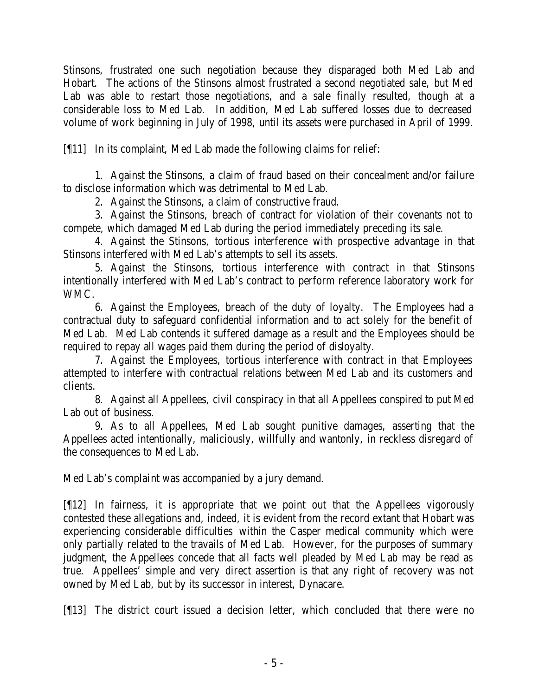Stinsons, frustrated one such negotiation because they disparaged both Med Lab and Hobart. The actions of the Stinsons almost frustrated a second negotiated sale, but Med Lab was able to restart those negotiations, and a sale finally resulted, though at a considerable loss to Med Lab. In addition, Med Lab suffered losses due to decreased volume of work beginning in July of 1998, until its assets were purchased in April of 1999.

[¶11] In its complaint, Med Lab made the following claims for relief:

1. Against the Stinsons, a claim of fraud based on their concealment and/or failure to disclose information which was detrimental to Med Lab.

2. Against the Stinsons, a claim of constructive fraud.

3. Against the Stinsons, breach of contract for violation of their covenants not to compete, which damaged Med Lab during the period immediately preceding its sale.

4. Against the Stinsons, tortious interference with prospective advantage in that Stinsons interfered with Med Lab's attempts to sell its assets.

5. Against the Stinsons, tortious interference with contract in that Stinsons intentionally interfered with Med Lab's contract to perform reference laboratory work for WMC.

6. Against the Employees, breach of the duty of loyalty. The Employees had a contractual duty to safeguard confidential information and to act solely for the benefit of Med Lab. Med Lab contends it suffered damage as a result and the Employees should be required to repay all wages paid them during the period of disloyalty.

7. Against the Employees, tortious interference with contract in that Employees attempted to interfere with contractual relations between Med Lab and its customers and clients.

8. Against all Appellees, civil conspiracy in that all Appellees conspired to put Med Lab out of business.

9. As to all Appellees, Med Lab sought punitive damages, asserting that the Appellees acted intentionally, maliciously, willfully and wantonly, in reckless disregard of the consequences to Med Lab.

Med Lab's complaint was accompanied by a jury demand.

[¶12] In fairness, it is appropriate that we point out that the Appellees vigorously contested these allegations and, indeed, it is evident from the record extant that Hobart was experiencing considerable difficulties within the Casper medical community which were only partially related to the travails of Med Lab. However, for the purposes of summary judgment, the Appellees concede that all facts well pleaded by Med Lab may be read as true. Appellees' simple and very direct assertion is that any right of recovery was not owned by Med Lab, but by its successor in interest, Dynacare.

[¶13] The district court issued a decision letter, which concluded that there were no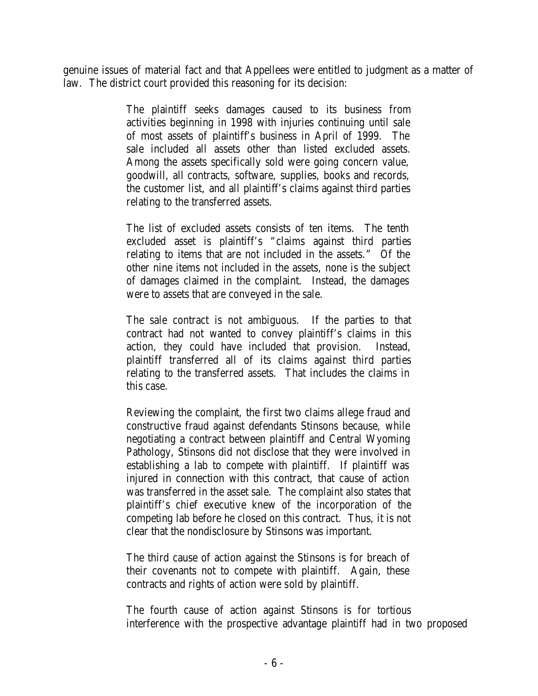genuine issues of material fact and that Appellees were entitled to judgment as a matter of law. The district court provided this reasoning for its decision:

> The plaintiff seeks damages caused to its business from activities beginning in 1998 with injuries continuing until sale of most assets of plaintiff's business in April of 1999. The sale included all assets other than listed excluded assets. Among the assets specifically sold were going concern value, goodwill, all contracts, software, supplies, books and records, the customer list, and all plaintiff's claims against third parties relating to the transferred assets.

> The list of excluded assets consists of ten items. The tenth excluded asset is plaintiff's "claims against third parties relating to items that are not included in the assets." Of the other nine items not included in the assets, none is the subject of damages claimed in the complaint. Instead, the damages were to assets that are conveyed in the sale.

> The sale contract is not ambiguous. If the parties to that contract had not wanted to convey plaintiff's claims in this action, they could have included that provision. Instead, plaintiff transferred all of its claims against third parties relating to the transferred assets. That includes the claims in this case.

> Reviewing the complaint, the first two claims allege fraud and constructive fraud against defendants Stinsons because, while negotiating a contract between plaintiff and Central Wyoming Pathology, Stinsons did not disclose that they were involved in establishing a lab to compete with plaintiff. If plaintiff was injured in connection with this contract, that cause of action was transferred in the asset sale. The complaint also states that plaintiff's chief executive knew of the incorporation of the competing lab before he closed on this contract. Thus, it is not clear that the nondisclosure by Stinsons was important.

> The third cause of action against the Stinsons is for breach of their covenants not to compete with plaintiff. Again, these contracts and rights of action were sold by plaintiff.

The fourth cause of action against Stinsons is for tortious interference with the prospective advantage plaintiff had in two proposed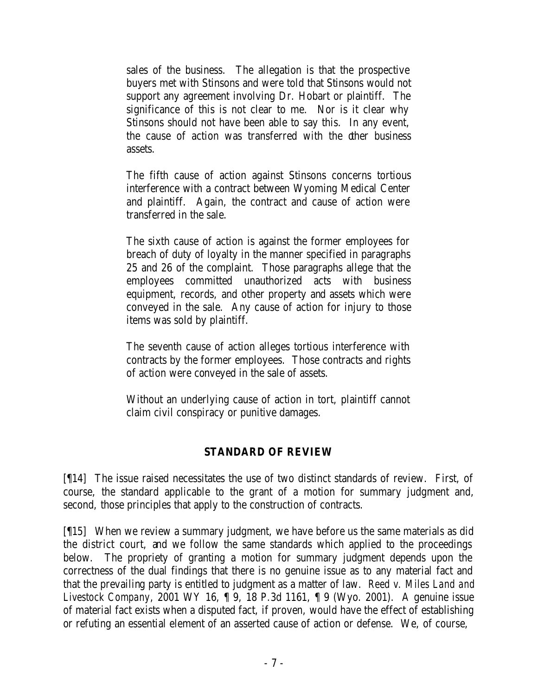sales of the business. The allegation is that the prospective buyers met with Stinsons and were told that Stinsons would not support any agreement involving Dr. Hobart or plaintiff. The significance of this is not clear to me. Nor is it clear why Stinsons should not have been able to say this. In any event, the cause of action was transferred with the other business assets.

The fifth cause of action against Stinsons concerns tortious interference with a contract between Wyoming Medical Center and plaintiff. Again, the contract and cause of action were transferred in the sale.

The sixth cause of action is against the former employees for breach of duty of loyalty in the manner specified in paragraphs 25 and 26 of the complaint. Those paragraphs allege that the employees committed unauthorized acts with business equipment, records, and other property and assets which were conveyed in the sale. Any cause of action for injury to those items was sold by plaintiff.

The seventh cause of action alleges tortious interference with contracts by the former employees. Those contracts and rights of action were conveyed in the sale of assets.

Without an underlying cause of action in tort, plaintiff cannot claim civil conspiracy or punitive damages.

# **STANDARD OF REVIEW**

[¶14] The issue raised necessitates the use of two distinct standards of review. First, of course, the standard applicable to the grant of a motion for summary judgment and, second, those principles that apply to the construction of contracts.

[¶15] When we review a summary judgment, we have before us the same materials as did the district court, and we follow the same standards which applied to the proceedings below. The propriety of granting a motion for summary judgment depends upon the correctness of the dual findings that there is no genuine issue as to any material fact and that the prevailing party is entitled to judgment as a matter of law. *Reed v. Miles Land and Livestock Company*, 2001 WY 16, ¶ 9, 18 P.3d 1161, ¶ 9 (Wyo. 2001). A genuine issue of material fact exists when a disputed fact, if proven, would have the effect of establishing or refuting an essential element of an asserted cause of action or defense. We, of course,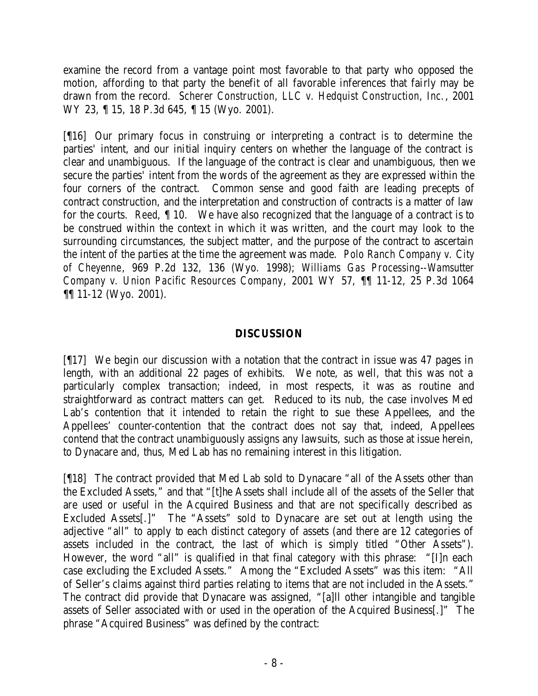examine the record from a vantage point most favorable to that party who opposed the motion, affording to that party the benefit of all favorable inferences that fairly may be drawn from the record. *Scherer Construction, LLC v. Hedquist Construction, Inc.*, 2001 WY 23, 15, 18 P.3d 645, 15 (Wyo. 2001).

[¶16] Our primary focus in construing or interpreting a contract is to determine the parties' intent, and our initial inquiry centers on whether the language of the contract is clear and unambiguous. If the language of the contract is clear and unambiguous, then we secure the parties' intent from the words of the agreement as they are expressed within the four corners of the contract. Common sense and good faith are leading precepts of contract construction, and the interpretation and construction of contracts is a matter of law for the courts. *Reed*, ¶ 10. We have also recognized that the language of a contract is to be construed within the context in which it was written, and the court may look to the surrounding circumstances, the subject matter, and the purpose of the contract to ascertain the intent of the parties at the time the agreement was made. *Polo Ranch Company v. City of Cheyenne*, 969 P.2d 132, 136 (Wyo. 1998); *Williams Gas Processing--Wamsutter Company v. Union Pacific Resources Company*, 2001 WY 57, ¶¶ 11-12, 25 P.3d 1064 ¶¶ 11-12 (Wyo. 2001).

# **DISCUSSION**

[¶17] We begin our discussion with a notation that the contract in issue was 47 pages in length, with an additional 22 pages of exhibits. We note, as well, that this was not a particularly complex transaction; indeed, in most respects, it was as routine and straightforward as contract matters can get. Reduced to its nub, the case involves Med Lab's contention that it intended to retain the right to sue these Appellees, and the Appellees' counter-contention that the contract does not say that, indeed, Appellees contend that the contract unambiguously assigns any lawsuits, such as those at issue herein, to Dynacare and, thus, Med Lab has no remaining interest in this litigation.

[¶18] The contract provided that Med Lab sold to Dynacare "all of the Assets other than the Excluded Assets," and that "[t]he Assets shall include all of the assets of the Seller that are used or useful in the Acquired Business and that are not specifically described as Excluded Assets[.]" The "Assets" sold to Dynacare are set out at length using the adjective "all" to apply to each distinct category of assets (and there are 12 categories of assets included in the contract, the last of which is simply titled "Other Assets"). However, the word "all" is qualified in that final category with this phrase: "[I]n each case excluding the Excluded Assets." Among the "Excluded Assets" was this item: "All of Seller's claims against third parties relating to items that are not included in the Assets." The contract did provide that Dynacare was assigned, "[a]ll other intangible and tangible assets of Seller associated with or used in the operation of the Acquired Business[.]" The phrase "Acquired Business" was defined by the contract: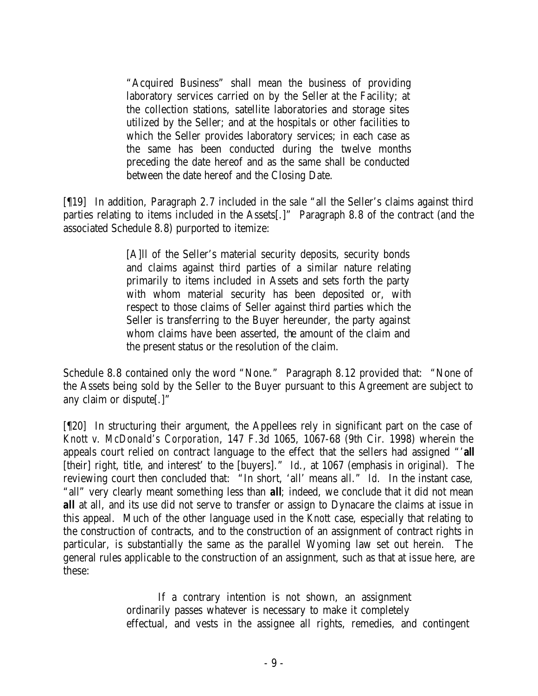"Acquired Business" shall mean the business of providing laboratory services carried on by the Seller at the Facility; at the collection stations, satellite laboratories and storage sites utilized by the Seller; and at the hospitals or other facilities to which the Seller provides laboratory services; in each case as the same has been conducted during the twelve months preceding the date hereof and as the same shall be conducted between the date hereof and the Closing Date.

[¶19] In addition, Paragraph 2.7 included in the sale "all the Seller's claims against third parties relating to items included in the Assets[.]" Paragraph 8.8 of the contract (and the associated Schedule 8.8) purported to itemize:

> [A]ll of the Seller's material security deposits, security bonds and claims against third parties of a similar nature relating primarily to items included in Assets and sets forth the party with whom material security has been deposited or, with respect to those claims of Seller against third parties which the Seller is transferring to the Buyer hereunder, the party against whom claims have been asserted, the amount of the claim and the present status or the resolution of the claim.

Schedule 8.8 contained only the word "None." Paragraph 8.12 provided that: "None of the Assets being sold by the Seller to the Buyer pursuant to this Agreement are subject to any claim or dispute[.]"

[¶20] In structuring their argument, the Appellees rely in significant part on the case of *Knott v. McDonald's Corporation*, 147 F.3d 1065, 1067-68 (9th Cir. 1998) wherein the appeals court relied on contract language to the effect that the sellers had assigned "'*all* [their] right, title, and interest' to the [buyers]." *Id.*, at 1067 (emphasis in original). The reviewing court then concluded that: "In short, 'all' means all." *Id.* In the instant case, "all" very clearly meant something less than *all;* indeed, we conclude that it did not mean *all* at all, and its use did not serve to transfer or assign to Dynacare the claims at issue in this appeal. Much of the other language used in the *Knott* case, especially that relating to the construction of contracts, and to the construction of an assignment of contract rights in particular, is substantially the same as the parallel Wyoming law set out herein. The general rules applicable to the construction of an assignment, such as that at issue here, are these:

> If a contrary intention is not shown, an assignment ordinarily passes whatever is necessary to make it completely effectual, and vests in the assignee all rights, remedies, and contingent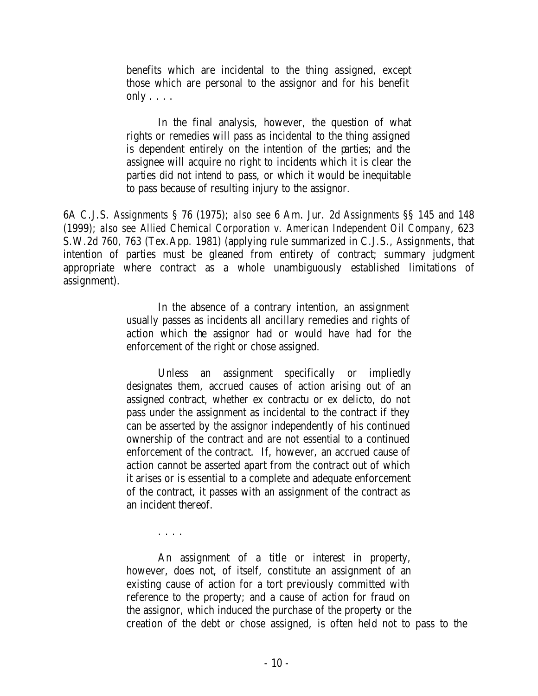benefits which are incidental to the thing assigned, except those which are personal to the assignor and for his benefit only  $\ldots$ .

In the final analysis, however, the question of what rights or remedies will pass as incidental to the thing assigned is dependent entirely on the intention of the parties; and the assignee will acquire no right to incidents which it is clear the parties did not intend to pass, or which it would be inequitable to pass because of resulting injury to the assignor.

6A C.J.S. *Assignments* § 76 (1975); *also see* 6 Am. Jur. 2d *Assignments* §§ 145 and 148 (1999); *also see Allied Chemical Corporation v. American Independent Oil Company*, 623 S.W.2d 760, 763 (Tex.App. 1981) (applying rule summarized in C.J.S., *Assignments*, that intention of parties must be gleaned from entirety of contract; summary judgment appropriate where contract as a whole unambiguously established limitations of assignment).

> In the absence of a contrary intention, an assignment usually passes as incidents all ancillary remedies and rights of action which the assignor had or would have had for the enforcement of the right or chose assigned.

> Unless an assignment specifically or impliedly designates them, accrued causes of action arising out of an assigned contract, whether ex contractu or ex delicto, do not pass under the assignment as incidental to the contract if they can be asserted by the assignor independently of his continued ownership of the contract and are not essential to a continued enforcement of the contract. If, however, an accrued cause of action cannot be asserted apart from the contract out of which it arises or is essential to a complete and adequate enforcement of the contract, it passes with an assignment of the contract as an incident thereof.

> > . . . .

An assignment of a title or interest in property, however, does not, of itself, constitute an assignment of an existing cause of action for a tort previously committed with reference to the property; and a cause of action for fraud on the assignor, which induced the purchase of the property or the creation of the debt or chose assigned, is often held not to pass to the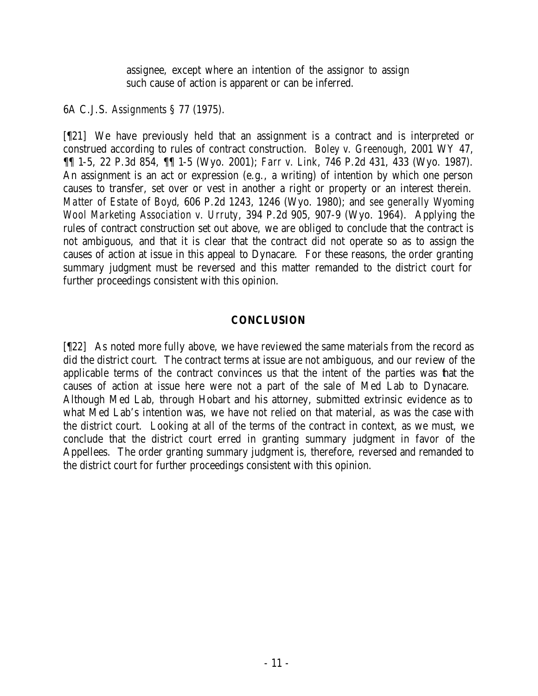assignee, except where an intention of the assignor to assign such cause of action is apparent or can be inferred.

6A C.J.S. *Assignments* § 77 (1975).

[¶21] We have previously held that an assignment is a contract and is interpreted or construed according to rules of contract construction. *Boley v. Greenough*, 2001 WY 47, ¶¶ 1-5, 22 P.3d 854, ¶¶ 1-5 (Wyo. 2001); *Farr v. Link*, 746 P.2d 431, 433 (Wyo. 1987). An assignment is an act or expression (e.g., a writing) of intention by which one person causes to transfer, set over or vest in another a right or property or an interest therein. *Matter of Estate of Boyd*, 606 P.2d 1243, 1246 (Wyo. 1980); and *see generally Wyoming Wool Marketing Association v. Urruty*, 394 P.2d 905, 907-9 (Wyo. 1964). Applying the rules of contract construction set out above, we are obliged to conclude that the contract is not ambiguous, and that it is clear that the contract did not operate so as to assign the causes of action at issue in this appeal to Dynacare. For these reasons, the order granting summary judgment must be reversed and this matter remanded to the district court for further proceedings consistent with this opinion.

# **CONCLUSION**

[¶22] As noted more fully above, we have reviewed the same materials from the record as did the district court. The contract terms at issue are not ambiguous, and our review of the applicable terms of the contract convinces us that the intent of the parties was that the causes of action at issue here were not a part of the sale of Med Lab to Dynacare. Although Med Lab, through Hobart and his attorney, submitted extrinsic evidence as to what Med Lab's intention was, we have not relied on that material, as was the case with the district court. Looking at all of the terms of the contract in context, as we must, we conclude that the district court erred in granting summary judgment in favor of the Appellees. The order granting summary judgment is, therefore, reversed and remanded to the district court for further proceedings consistent with this opinion.